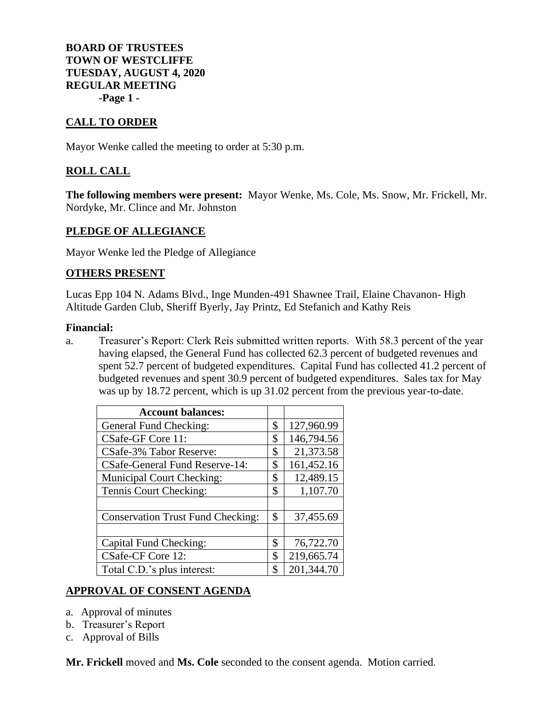# **BOARD OF TRUSTEES TOWN OF WESTCLIFFE TUESDAY, AUGUST 4, 2020 REGULAR MEETING -Page 1 -**

# **CALL TO ORDER**

Mayor Wenke called the meeting to order at 5:30 p.m.

# **ROLL CALL**

**The following members were present:** Mayor Wenke, Ms. Cole, Ms. Snow, Mr. Frickell, Mr. Nordyke, Mr. Clince and Mr. Johnston

## **PLEDGE OF ALLEGIANCE**

Mayor Wenke led the Pledge of Allegiance

## **OTHERS PRESENT**

Lucas Epp 104 N. Adams Blvd., Inge Munden-491 Shawnee Trail, Elaine Chavanon- High Altitude Garden Club, Sheriff Byerly, Jay Printz, Ed Stefanich and Kathy Reis

## **Financial:**

a. Treasurer's Report: Clerk Reis submitted written reports. With 58.3 percent of the year having elapsed, the General Fund has collected 62.3 percent of budgeted revenues and spent 52.7 percent of budgeted expenditures. Capital Fund has collected 41.2 percent of budgeted revenues and spent 30.9 percent of budgeted expenditures. Sales tax for May was up by 18.72 percent, which is up 31.02 percent from the previous year-to-date.

| <b>Account balances:</b>                 |                  |
|------------------------------------------|------------------|
| General Fund Checking:                   | \$<br>127,960.99 |
| CSafe-GF Core 11:                        | \$<br>146,794.56 |
| CSafe-3% Tabor Reserve:                  | \$<br>21,373.58  |
| <b>CSafe-General Fund Reserve-14:</b>    | \$<br>161,452.16 |
| <b>Municipal Court Checking:</b>         | \$<br>12,489.15  |
| Tennis Court Checking:                   | \$<br>1,107.70   |
|                                          |                  |
| <b>Conservation Trust Fund Checking:</b> | \$<br>37,455.69  |
|                                          |                  |
| Capital Fund Checking:                   | \$<br>76,722.70  |
| CSafe-CF Core 12:                        | \$<br>219,665.74 |
| Total C.D.'s plus interest:              | \$<br>201,344.70 |

## **APPROVAL OF CONSENT AGENDA**

- a. Approval of minutes
- b. Treasurer's Report
- c. Approval of Bills

**Mr. Frickell** moved and **Ms. Cole** seconded to the consent agenda. Motion carried.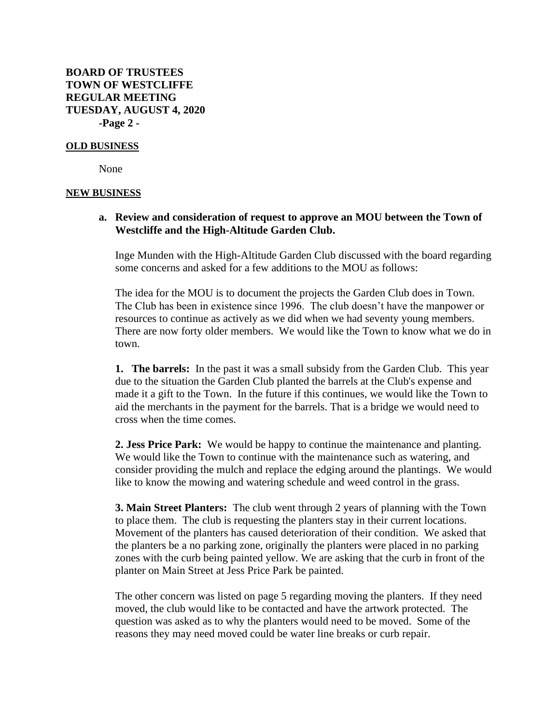**BOARD OF TRUSTEES TOWN OF WESTCLIFFE REGULAR MEETING TUESDAY, AUGUST 4, 2020 -Page 2 -**

#### **OLD BUSINESS**

None

#### **NEW BUSINESS**

## **a. Review and consideration of request to approve an MOU between the Town of Westcliffe and the High-Altitude Garden Club.**

Inge Munden with the High-Altitude Garden Club discussed with the board regarding some concerns and asked for a few additions to the MOU as follows:

The idea for the MOU is to document the projects the Garden Club does in Town. The Club has been in existence since 1996. The club doesn't have the manpower or resources to continue as actively as we did when we had seventy young members. There are now forty older members. We would like the Town to know what we do in town.

**1. The barrels:** In the past it was a small subsidy from the Garden Club. This year due to the situation the Garden Club planted the barrels at the Club's expense and made it a gift to the Town. In the future if this continues, we would like the Town to aid the merchants in the payment for the barrels. That is a bridge we would need to cross when the time comes.

**2. Jess Price Park:** We would be happy to continue the maintenance and planting. We would like the Town to continue with the maintenance such as watering, and consider providing the mulch and replace the edging around the plantings. We would like to know the mowing and watering schedule and weed control in the grass.

**3. Main Street Planters:** The club went through 2 years of planning with the Town to place them. The club is requesting the planters stay in their current locations. Movement of the planters has caused deterioration of their condition. We asked that the planters be a no parking zone, originally the planters were placed in no parking zones with the curb being painted yellow. We are asking that the curb in front of the planter on Main Street at Jess Price Park be painted.

The other concern was listed on page 5 regarding moving the planters. If they need moved, the club would like to be contacted and have the artwork protected. The question was asked as to why the planters would need to be moved. Some of the reasons they may need moved could be water line breaks or curb repair.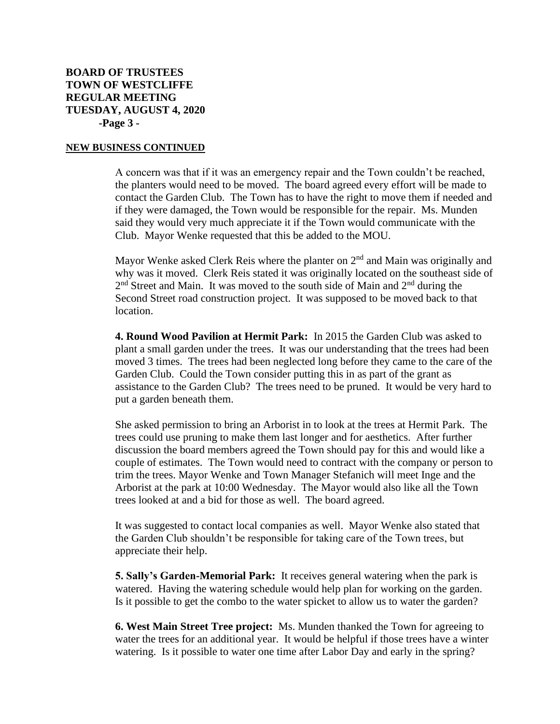#### **NEW BUSINESS CONTINUED**

A concern was that if it was an emergency repair and the Town couldn't be reached, the planters would need to be moved. The board agreed every effort will be made to contact the Garden Club. The Town has to have the right to move them if needed and if they were damaged, the Town would be responsible for the repair. Ms. Munden said they would very much appreciate it if the Town would communicate with the Club. Mayor Wenke requested that this be added to the MOU.

Mayor Wenke asked Clerk Reis where the planter on  $2<sup>nd</sup>$  and Main was originally and why was it moved. Clerk Reis stated it was originally located on the southeast side of 2<sup>nd</sup> Street and Main. It was moved to the south side of Main and 2<sup>nd</sup> during the Second Street road construction project. It was supposed to be moved back to that location.

**4. Round Wood Pavilion at Hermit Park:** In 2015 the Garden Club was asked to plant a small garden under the trees. It was our understanding that the trees had been moved 3 times. The trees had been neglected long before they came to the care of the Garden Club. Could the Town consider putting this in as part of the grant as assistance to the Garden Club? The trees need to be pruned. It would be very hard to put a garden beneath them.

She asked permission to bring an Arborist in to look at the trees at Hermit Park. The trees could use pruning to make them last longer and for aesthetics. After further discussion the board members agreed the Town should pay for this and would like a couple of estimates. The Town would need to contract with the company or person to trim the trees. Mayor Wenke and Town Manager Stefanich will meet Inge and the Arborist at the park at 10:00 Wednesday. The Mayor would also like all the Town trees looked at and a bid for those as well. The board agreed.

It was suggested to contact local companies as well. Mayor Wenke also stated that the Garden Club shouldn't be responsible for taking care of the Town trees, but appreciate their help.

**5. Sally's Garden-Memorial Park:** It receives general watering when the park is watered. Having the watering schedule would help plan for working on the garden. Is it possible to get the combo to the water spicket to allow us to water the garden?

**6. West Main Street Tree project:** Ms. Munden thanked the Town for agreeing to water the trees for an additional year. It would be helpful if those trees have a winter watering. Is it possible to water one time after Labor Day and early in the spring?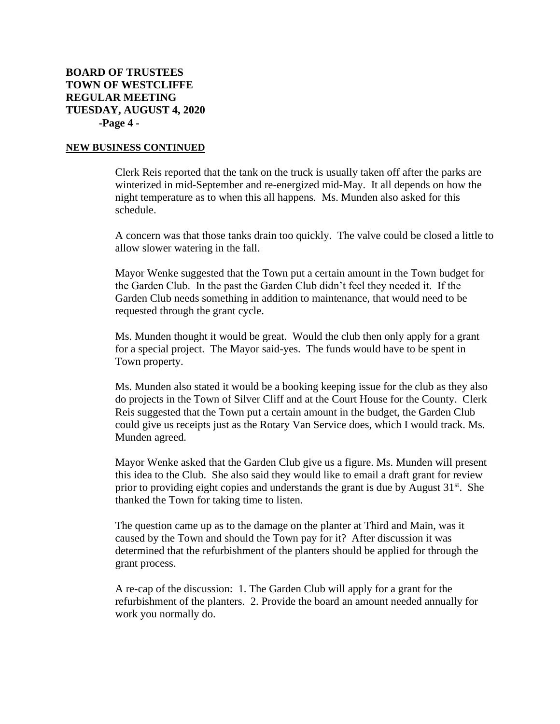#### **NEW BUSINESS CONTINUED**

Clerk Reis reported that the tank on the truck is usually taken off after the parks are winterized in mid-September and re-energized mid-May. It all depends on how the night temperature as to when this all happens. Ms. Munden also asked for this schedule.

A concern was that those tanks drain too quickly. The valve could be closed a little to allow slower watering in the fall.

Mayor Wenke suggested that the Town put a certain amount in the Town budget for the Garden Club. In the past the Garden Club didn't feel they needed it. If the Garden Club needs something in addition to maintenance, that would need to be requested through the grant cycle.

Ms. Munden thought it would be great. Would the club then only apply for a grant for a special project. The Mayor said-yes. The funds would have to be spent in Town property.

Ms. Munden also stated it would be a booking keeping issue for the club as they also do projects in the Town of Silver Cliff and at the Court House for the County. Clerk Reis suggested that the Town put a certain amount in the budget, the Garden Club could give us receipts just as the Rotary Van Service does, which I would track. Ms. Munden agreed.

Mayor Wenke asked that the Garden Club give us a figure. Ms. Munden will present this idea to the Club. She also said they would like to email a draft grant for review prior to providing eight copies and understands the grant is due by August  $31<sup>st</sup>$ . She thanked the Town for taking time to listen.

The question came up as to the damage on the planter at Third and Main, was it caused by the Town and should the Town pay for it? After discussion it was determined that the refurbishment of the planters should be applied for through the grant process.

A re-cap of the discussion: 1. The Garden Club will apply for a grant for the refurbishment of the planters. 2. Provide the board an amount needed annually for work you normally do.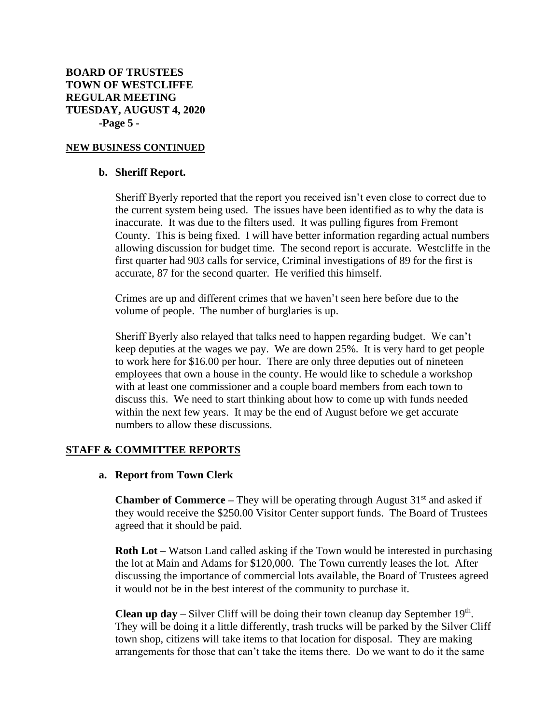## **NEW BUSINESS CONTINUED**

### **b. Sheriff Report.**

Sheriff Byerly reported that the report you received isn't even close to correct due to the current system being used. The issues have been identified as to why the data is inaccurate. It was due to the filters used. It was pulling figures from Fremont County. This is being fixed. I will have better information regarding actual numbers allowing discussion for budget time. The second report is accurate. Westcliffe in the first quarter had 903 calls for service, Criminal investigations of 89 for the first is accurate, 87 for the second quarter. He verified this himself.

Crimes are up and different crimes that we haven't seen here before due to the volume of people. The number of burglaries is up.

Sheriff Byerly also relayed that talks need to happen regarding budget. We can't keep deputies at the wages we pay. We are down 25%. It is very hard to get people to work here for \$16.00 per hour. There are only three deputies out of nineteen employees that own a house in the county. He would like to schedule a workshop with at least one commissioner and a couple board members from each town to discuss this. We need to start thinking about how to come up with funds needed within the next few years. It may be the end of August before we get accurate numbers to allow these discussions.

## **STAFF & COMMITTEE REPORTS**

## **a. Report from Town Clerk**

**Chamber of Commerce** – They will be operating through August 31<sup>st</sup> and asked if they would receive the \$250.00 Visitor Center support funds. The Board of Trustees agreed that it should be paid.

**Roth Lot** – Watson Land called asking if the Town would be interested in purchasing the lot at Main and Adams for \$120,000. The Town currently leases the lot. After discussing the importance of commercial lots available, the Board of Trustees agreed it would not be in the best interest of the community to purchase it.

**Clean up day** – Silver Cliff will be doing their town cleanup day September  $19<sup>th</sup>$ . They will be doing it a little differently, trash trucks will be parked by the Silver Cliff town shop, citizens will take items to that location for disposal. They are making arrangements for those that can't take the items there. Do we want to do it the same